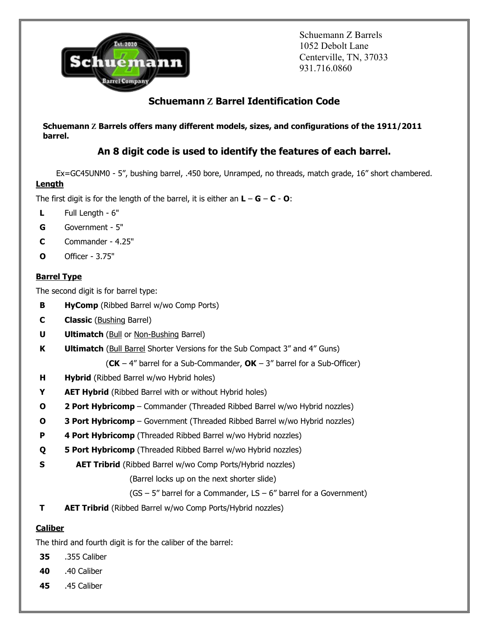

Schuemann Z Barrels 1052 Debolt Lane Centerville, TN, 37033 931.716.0860

# Schuemann **Z** Barrel Identification Code

Schuemann **Z** Barrels offers many different models, sizes, and configurations of the 1911/2011 barrel.

# An 8 digit code is used to identify the features of each barrel.

Ex=GC45UNM0 - 5", bushing barrel, .450 bore, Unramped, no threads, match grade, 16" short chambered.

## **Length**

The first digit is for the length of the barrel, it is either an  $L - G - C - O$ :

- L Full Length 6"
- G Government 5"
- C Commander 4.25"
- O Officer 3.75"

# **Barrel Type**

The second digit is for barrel type:

- **B** HyComp (Ribbed Barrel w/wo Comp Ports)
- **C Classic** (Bushing Barrel)
- **U** Ultimatch (Bull or Non-Bushing Barrel)
- **K** Ultimatch (Bull Barrel Shorter Versions for the Sub Compact 3" and 4" Guns)
	- (CK 4" barrel for a Sub-Commander,  $OK 3$ " barrel for a Sub-Officer)
- **H** Hybrid (Ribbed Barrel w/wo Hybrid holes)
- **Y** AET Hybrid (Ribbed Barrel with or without Hybrid holes)
- O 2 Port Hybricomp Commander (Threaded Ribbed Barrel w/wo Hybrid nozzles)
- **O** 3 Port Hybricomp Government (Threaded Ribbed Barrel w/wo Hybrid nozzles)
- **P** 4 Port Hybricomp (Threaded Ribbed Barrel w/wo Hybrid nozzles)
- **Q** 5 Port Hybricomp (Threaded Ribbed Barrel w/wo Hybrid nozzles)
- **S** AET Tribrid (Ribbed Barrel w/wo Comp Ports/Hybrid nozzles)

(Barrel locks up on the next shorter slide)

- $(GS 5"$  barrel for a Commander,  $LS 6"$  barrel for a Government)
- T AET Tribrid (Ribbed Barrel w/wo Comp Ports/Hybrid nozzles)

## **Caliber**

The third and fourth digit is for the caliber of the barrel:

- 35 .355 Caliber
- 40 .40 Caliber
- 45 .45 Caliber